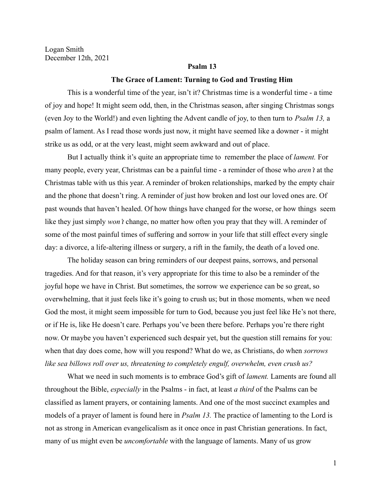Logan Smith December 12th, 2021

# **Psalm 13**

#### **The Grace of Lament: Turning to God and Trusting Him**

This is a wonderful time of the year, isn't it? Christmas time is a wonderful time - a time of joy and hope! It might seem odd, then, in the Christmas season, after singing Christmas songs (even Joy to the World!) and even lighting the Advent candle of joy, to then turn to *Psalm 13,* a psalm of lament. As I read those words just now, it might have seemed like a downer - it might strike us as odd, or at the very least, might seem awkward and out of place.

But I actually think it's quite an appropriate time to remember the place of *lament.* For many people, every year, Christmas can be a painful time - a reminder of those who *aren't* at the Christmas table with us this year. A reminder of broken relationships, marked by the empty chair and the phone that doesn't ring. A reminder of just how broken and lost our loved ones are. Of past wounds that haven't healed. Of how things have changed for the worse, or how things seem like they just simply *won't* change, no matter how often you pray that they will. A reminder of some of the most painful times of suffering and sorrow in your life that still effect every single day: a divorce, a life-altering illness or surgery, a rift in the family, the death of a loved one.

The holiday season can bring reminders of our deepest pains, sorrows, and personal tragedies. And for that reason, it's very appropriate for this time to also be a reminder of the joyful hope we have in Christ. But sometimes, the sorrow we experience can be so great, so overwhelming, that it just feels like it's going to crush us; but in those moments, when we need God the most, it might seem impossible for turn to God, because you just feel like He's not there, or if He is, like He doesn't care. Perhaps you've been there before. Perhaps you're there right now. Or maybe you haven't experienced such despair yet, but the question still remains for you: when that day does come, how will you respond? What do we, as Christians, do when *sorrows like sea billows roll over us, threatening to completely engulf, overwhelm, even crush us?*

What we need in such moments is to embrace God's gift of *lament.* Laments are found all throughout the Bible, *especially* in the Psalms - in fact, at least *a third* of the Psalms can be classified as lament prayers, or containing laments. And one of the most succinct examples and models of a prayer of lament is found here in *Psalm 13.* The practice of lamenting to the Lord is not as strong in American evangelicalism as it once once in past Christian generations. In fact, many of us might even be *uncomfortable* with the language of laments. Many of us grow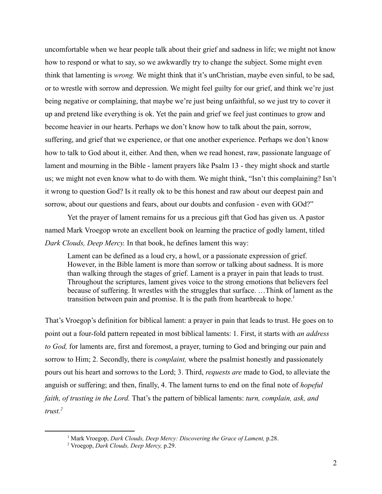uncomfortable when we hear people talk about their grief and sadness in life; we might not know how to respond or what to say, so we awkwardly try to change the subject. Some might even think that lamenting is *wrong.* We might think that it's unChristian, maybe even sinful, to be sad, or to wrestle with sorrow and depression. We might feel guilty for our grief, and think we're just being negative or complaining, that maybe we're just being unfaithful, so we just try to cover it up and pretend like everything is ok. Yet the pain and grief we feel just continues to grow and become heavier in our hearts. Perhaps we don't know how to talk about the pain, sorrow, suffering, and grief that we experience, or that one another experience. Perhaps we don't know how to talk to God about it, either. And then, when we read honest, raw, passionate language of lament and mourning in the Bible - lament prayers like Psalm 13 - they might shock and startle us; we might not even know what to do with them. We might think, "Isn't this complaining? Isn't it wrong to question God? Is it really ok to be this honest and raw about our deepest pain and sorrow, about our questions and fears, about our doubts and confusion - even with GOd?"

Yet the prayer of lament remains for us a precious gift that God has given us. A pastor named Mark Vroegop wrote an excellent book on learning the practice of godly lament, titled *Dark Clouds, Deep Mercy.* In that book, he defines lament this way:

Lament can be defined as a loud cry, a howl, or a passionate expression of grief. However, in the Bible lament is more than sorrow or talking about sadness. It is more than walking through the stages of grief. Lament is a prayer in pain that leads to trust. Throughout the scriptures, lament gives voice to the strong emotions that believers feel because of suffering. It wrestles with the struggles that surface. …Think of lament as the transition between pain and promise. It is the path from heartbreak to hope.<sup>1</sup>

That's Vroegop's definition for biblical lament: a prayer in pain that leads to trust. He goes on to point out a four-fold pattern repeated in most biblical laments: 1. First, it starts with *an address to God,* for laments are, first and foremost, a prayer, turning to God and bringing our pain and sorrow to Him; 2. Secondly, there is *complaint,* where the psalmist honestly and passionately pours out his heart and sorrows to the Lord; 3. Third, *requests are* made to God, to alleviate the anguish or suffering; and then, finally, 4. The lament turns to end on the final note of *hopeful faith, of trusting in the Lord.* That's the pattern of biblical laments: *turn, complain, ask, and trust.<sup>2</sup>*

<sup>1</sup> Mark Vroegop, *Dark Clouds, Deep Mercy: Discovering the Grace of Lament,* p.28.

<sup>2</sup> Vroegop, *Dark Clouds, Deep Mercy,* p.29.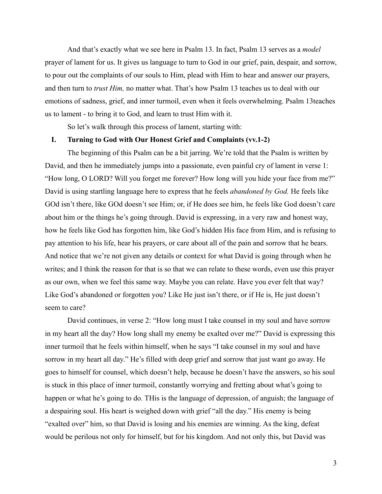And that's exactly what we see here in Psalm 13. In fact, Psalm 13 serves as a *model* prayer of lament for us. It gives us language to turn to God in our grief, pain, despair, and sorrow, to pour out the complaints of our souls to Him, plead with Him to hear and answer our prayers, and then turn to *trust Him,* no matter what. That's how Psalm 13 teaches us to deal with our emotions of sadness, grief, and inner turmoil, even when it feels overwhelming. Psalm 13teaches us to lament - to bring it to God, and learn to trust Him with it.

So let's walk through this process of lament, starting with:

### **I. Turning to God with Our Honest Grief and Complaints (vv.1-2)**

The beginning of this Psalm can be a bit jarring. We're told that the Psalm is written by David, and then he immediately jumps into a passionate, even painful cry of lament in verse 1: "How long, O LORD? Will you forget me forever? How long will you hide your face from me?" David is using startling language here to express that he feels *abandoned by God.* He feels like GOd isn't there, like GOd doesn't see Him; or, if He does see him, he feels like God doesn't care about him or the things he's going through. David is expressing, in a very raw and honest way, how he feels like God has forgotten him, like God's hidden His face from Him, and is refusing to pay attention to his life, hear his prayers, or care about all of the pain and sorrow that he bears. And notice that we're not given any details or context for what David is going through when he writes; and I think the reason for that is so that we can relate to these words, even use this prayer as our own, when we feel this same way. Maybe you can relate. Have you ever felt that way? Like God's abandoned or forgotten you? Like He just isn't there, or if He is, He just doesn't seem to care?

David continues, in verse 2: "How long must I take counsel in my soul and have sorrow in my heart all the day? How long shall my enemy be exalted over me?" David is expressing this inner turmoil that he feels within himself, when he says "I take counsel in my soul and have sorrow in my heart all day." He's filled with deep grief and sorrow that just want go away. He goes to himself for counsel, which doesn't help, because he doesn't have the answers, so his soul is stuck in this place of inner turmoil, constantly worrying and fretting about what's going to happen or what he's going to do. THis is the language of depression, of anguish; the language of a despairing soul. His heart is weighed down with grief "all the day." His enemy is being "exalted over" him, so that David is losing and his enemies are winning. As the king, defeat would be perilous not only for himself, but for his kingdom. And not only this, but David was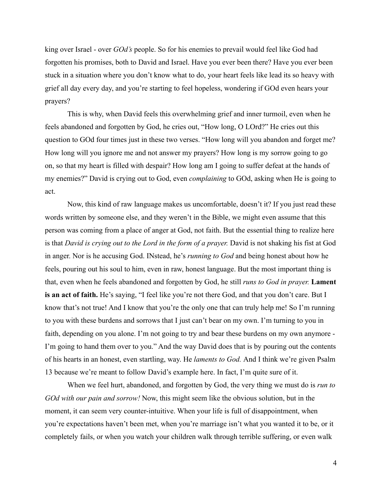king over Israel - over *GOd's* people. So for his enemies to prevail would feel like God had forgotten his promises, both to David and Israel. Have you ever been there? Have you ever been stuck in a situation where you don't know what to do, your heart feels like lead its so heavy with grief all day every day, and you're starting to feel hopeless, wondering if GOd even hears your prayers?

This is why, when David feels this overwhelming grief and inner turmoil, even when he feels abandoned and forgotten by God, he cries out, "How long, O LOrd?" He cries out this question to GOd four times just in these two verses. "How long will you abandon and forget me? How long will you ignore me and not answer my prayers? How long is my sorrow going to go on, so that my heart is filled with despair? How long am I going to suffer defeat at the hands of my enemies?" David is crying out to God, even *complaining* to GOd, asking when He is going to act.

Now, this kind of raw language makes us uncomfortable, doesn't it? If you just read these words written by someone else, and they weren't in the Bible, we might even assume that this person was coming from a place of anger at God, not faith. But the essential thing to realize here is that *David is crying out to the Lord in the form of a prayer.* David is not shaking his fist at God in anger. Nor is he accusing God. INstead, he's *running to God* and being honest about how he feels, pouring out his soul to him, even in raw, honest language. But the most important thing is that, even when he feels abandoned and forgotten by God, he still *runs to God in prayer.* **Lament is an act of faith.** He's saying, "I feel like you're not there God, and that you don't care. But I know that's not true! And I know that you're the only one that can truly help me! So I'm running to you with these burdens and sorrows that I just can't bear on my own. I'm turning to you in faith, depending on you alone. I'm not going to try and bear these burdens on my own anymore - I'm going to hand them over to you." And the way David does that is by pouring out the contents of his hearts in an honest, even startling, way. He *laments to God.* And I think we're given Psalm 13 because we're meant to follow David's example here. In fact, I'm quite sure of it.

When we feel hurt, abandoned, and forgotten by God, the very thing we must do is *run to GOd with our pain and sorrow!* Now, this might seem like the obvious solution, but in the moment, it can seem very counter-intuitive. When your life is full of disappointment, when you're expectations haven't been met, when you're marriage isn't what you wanted it to be, or it completely fails, or when you watch your children walk through terrible suffering, or even walk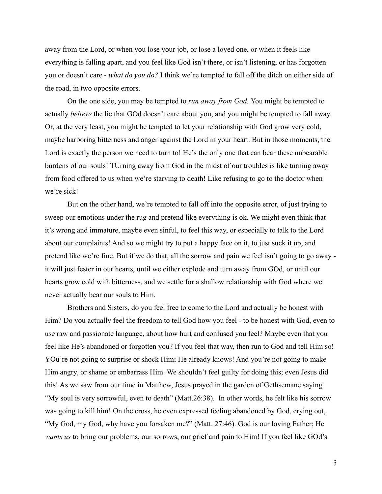away from the Lord, or when you lose your job, or lose a loved one, or when it feels like everything is falling apart, and you feel like God isn't there, or isn't listening, or has forgotten you or doesn't care - *what do you do?* I think we're tempted to fall off the ditch on either side of the road, in two opposite errors.

On the one side, you may be tempted to *run away from God.* You might be tempted to actually *believe* the lie that GOd doesn't care about you, and you might be tempted to fall away. Or, at the very least, you might be tempted to let your relationship with God grow very cold, maybe harboring bitterness and anger against the Lord in your heart. But in those moments, the Lord is exactly the person we need to turn to! He's the only one that can bear these unbearable burdens of our souls! TUrning away from God in the midst of our troubles is like turning away from food offered to us when we're starving to death! Like refusing to go to the doctor when we're sick!

But on the other hand, we're tempted to fall off into the opposite error, of just trying to sweep our emotions under the rug and pretend like everything is ok. We might even think that it's wrong and immature, maybe even sinful, to feel this way, or especially to talk to the Lord about our complaints! And so we might try to put a happy face on it, to just suck it up, and pretend like we're fine. But if we do that, all the sorrow and pain we feel isn't going to go away it will just fester in our hearts, until we either explode and turn away from GOd, or until our hearts grow cold with bitterness, and we settle for a shallow relationship with God where we never actually bear our souls to Him.

Brothers and Sisters, do you feel free to come to the Lord and actually be honest with Him? Do you actually feel the freedom to tell God how you feel - to be honest with God, even to use raw and passionate language, about how hurt and confused you feel? Maybe even that you feel like He's abandoned or forgotten you? If you feel that way, then run to God and tell Him so! YOu're not going to surprise or shock Him; He already knows! And you're not going to make Him angry, or shame or embarrass Him. We shouldn't feel guilty for doing this; even Jesus did this! As we saw from our time in Matthew, Jesus prayed in the garden of Gethsemane saying "My soul is very sorrowful, even to death" (Matt.26:38). In other words, he felt like his sorrow was going to kill him! On the cross, he even expressed feeling abandoned by God, crying out, "My God, my God, why have you forsaken me?" (Matt. 27:46). God is our loving Father; He *wants us* to bring our problems, our sorrows, our grief and pain to Him! If you feel like GOd's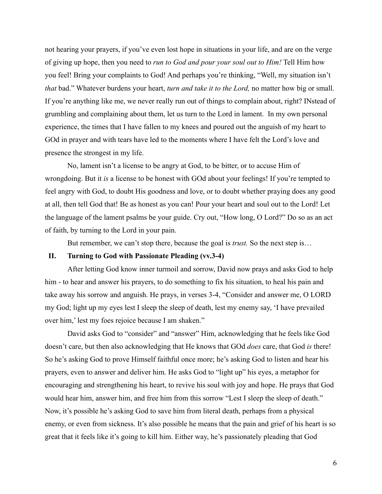not hearing your prayers, if you've even lost hope in situations in your life, and are on the verge of giving up hope, then you need to *run to God and pour your soul out to Him!* Tell Him how you feel! Bring your complaints to God! And perhaps you're thinking, "Well, my situation isn't *that* bad." Whatever burdens your heart, *turn and take it to the Lord,* no matter how big or small. If you're anything like me, we never really run out of things to complain about, right? INstead of grumbling and complaining about them, let us turn to the Lord in lament. In my own personal experience, the times that I have fallen to my knees and poured out the anguish of my heart to GOd in prayer and with tears have led to the moments where I have felt the Lord's love and presence the strongest in my life.

No, lament isn't a license to be angry at God, to be bitter, or to accuse Him of wrongdoing. But it *is* a license to be honest with GOd about your feelings! If you're tempted to feel angry with God, to doubt His goodness and love, or to doubt whether praying does any good at all, then tell God that! Be as honest as you can! Pour your heart and soul out to the Lord! Let the language of the lament psalms be your guide. Cry out, "How long, O Lord?" Do so as an act of faith, by turning to the Lord in your pain.

But remember, we can't stop there, because the goal is *trust.* So the next step is…

## **II. Turning to God with Passionate Pleading (vv.3-4)**

After letting God know inner turmoil and sorrow, David now prays and asks God to help him - to hear and answer his prayers, to do something to fix his situation, to heal his pain and take away his sorrow and anguish. He prays, in verses 3-4, "Consider and answer me, O LORD my God; light up my eyes lest I sleep the sleep of death, lest my enemy say, 'I have prevailed over him,' lest my foes rejoice because I am shaken."

David asks God to "consider" and "answer" Him, acknowledging that he feels like God doesn't care, but then also acknowledging that He knows that GOd *does* care, that God *is* there! So he's asking God to prove Himself faithful once more; he's asking God to listen and hear his prayers, even to answer and deliver him. He asks God to "light up" his eyes, a metaphor for encouraging and strengthening his heart, to revive his soul with joy and hope. He prays that God would hear him, answer him, and free him from this sorrow "Lest I sleep the sleep of death." Now, it's possible he's asking God to save him from literal death, perhaps from a physical enemy, or even from sickness. It's also possible he means that the pain and grief of his heart is so great that it feels like it's going to kill him. Either way, he's passionately pleading that God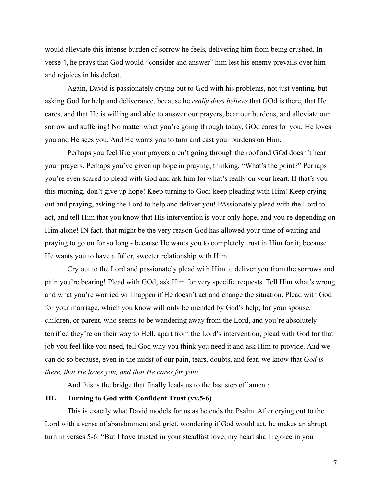would alleviate this intense burden of sorrow he feels, delivering him from being crushed. In verse 4, he prays that God would "consider and answer" him lest his enemy prevails over him and rejoices in his defeat.

Again, David is passionately crying out to God with his problems, not just venting, but asking God for help and deliverance, because he *really does believe* that GOd is there, that He cares, and that He is willing and able to answer our prayers, bear our burdens, and alleviate our sorrow and suffering! No matter what you're going through today, GOd cares for you; He loves you and He sees you. And He wants you to turn and cast your burdens on Him.

Perhaps you feel like your prayers aren't going through the roof and GOd doesn't hear your prayers. Perhaps you've given up hope in praying, thinking, "What's the point?" Perhaps you're even scared to plead with God and ask him for what's really on your heart. If that's you this morning, don't give up hope! Keep turning to God; keep pleading with Him! Keep crying out and praying, asking the Lord to help and deliver you! PAssionately plead with the Lord to act, and tell Him that you know that His intervention is your only hope, and you're depending on Him alone! IN fact, that might be the very reason God has allowed your time of waiting and praying to go on for so long - because He wants you to completely trust in Him for it; because He wants you to have a fuller, sweeter relationship with Him.

Cry out to the Lord and passionately plead with Him to deliver you from the sorrows and pain you're bearing! Plead with GOd, ask Him for very specific requests. Tell Him what's wrong and what you're worried will happen if He doesn't act and change the situation. Plead with God for your marriage, which you know will only be mended by God's help; for your spouse, children, or parent, who seems to be wandering away from the Lord, and you're absolutely terrified they're on their way to Hell, apart from the Lord's intervention; plead with God for that job you feel like you need, tell God why you think you need it and ask Him to provide. And we can do so because, even in the midst of our pain, tears, doubts, and fear, we know that *God is there, that He loves you, and that He cares for you!*

And this is the bridge that finally leads us to the last step of lament:

# **III. Turning to God with Confident Trust (vv.5-6)**

This is exactly what David models for us as he ends the Psalm. After crying out to the Lord with a sense of abandonment and grief, wondering if God would act, he makes an abrupt turn in verses 5-6: "But I have trusted in your steadfast love; my heart shall rejoice in your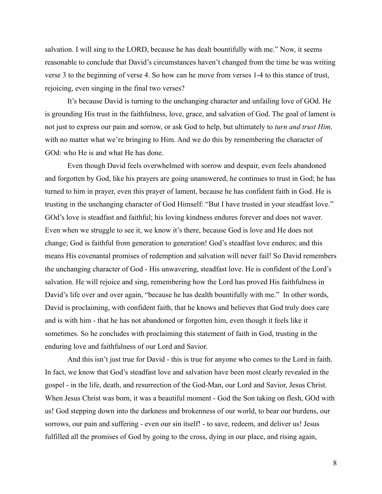salvation. I will sing to the LORD, because he has dealt bountifully with me." Now, it seems reasonable to conclude that David's circumstances haven't changed from the time he was writing verse 3 to the beginning of verse 4. So how can he move from verses 1-4 to this stance of trust, rejoicing, even singing in the final two verses?

It's because David is turning to the unchanging character and unfailing love of GOd. He is grounding His trust in the faithfulness, love, grace, and salvation of God. The goal of lament is not just to express our pain and sorrow, or ask God to help, but ultimately to *turn and trust Him,* with no matter what we're bringing to Him. And we do this by remembering the character of GOd: who He is and what He has done.

Even though David feels overwhelmed with sorrow and despair, even feels abandoned and forgotten by God, like his prayers are going unanswered, he continues to trust in God; he has turned to him in prayer, even this prayer of lament, because he has confident faith in God. He is trusting in the unchanging character of God Himself: "But I have trusted in your steadfast love." GOd's love is steadfast and faithful; his loving kindness endures forever and does not waver. Even when we struggle to see it, we know it's there, because God is love and He does not change; God is faithful from generation to generation! God's steadfast love endures; and this means His covenantal promises of redemption and salvation will never fail! So David remembers the unchanging character of God - His unwavering, steadfast love. He is confident of the Lord's salvation. He will rejoice and sing, remembering how the Lord has proved His faithfulness in David's life over and over again, "because he has dealth bountifully with me." In other words, David is proclaiming, with confident faith, that he knows and believes that God truly does care and is with him - that he has not abandoned or forgotten him, even though it feels like it sometimes. So he concludes with proclaiming this statement of faith in God, trusting in the enduring love and faithfulness of our Lord and Savior.

And this isn't just true for David - this is true for anyone who comes to the Lord in faith. In fact, we know that God's steadfast love and salvation have been most clearly revealed in the gospel - in the life, death, and resurrection of the God-Man, our Lord and Savior, Jesus Christ. When Jesus Christ was born, it was a beautiful moment - God the Son taking on flesh, GOd with us! God stepping down into the darkness and brokenness of our world, to bear our burdens, our sorrows, our pain and suffering - even our sin itself! - to save, redeem, and deliver us! Jesus fulfilled all the promises of God by going to the cross, dying in our place, and rising again,